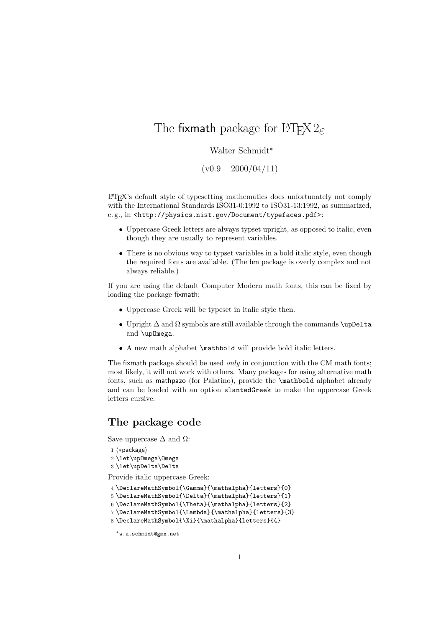## The fixmath package for  $\angle MFX2_{\epsilon}$

## Walter Schmidt<sup>∗</sup>

 $(v0.9 - 2000/04/11)$ 

LATEX's default style of typesetting mathematics does unfortunately not comply with the International Standards ISO31-0:1992 to ISO31-13:1992, as summarized, e.g., in <http://physics.nist.gov/Document/typefaces.pdf>:

- Uppercase Greek letters are always typset upright, as opposed to italic, even though they are usually to represent variables.
- There is no obvious way to typset variables in a bold italic style, even though the required fonts are available. (The bm package is overly complex and not always reliable.)

If you are using the default Computer Modern math fonts, this can be fixed by loading the package fixmath:

- Uppercase Greek will be typeset in italic style then.
- Upright  $\Delta$  and  $\Omega$  symbols are still available through the commands \upDelta and \upOmega.
- A new math alphabet \mathbold will provide bold italic letters.

The fixmath package should be used *only* in conjunction with the CM math fonts; most likely, it will not work with others. Many packages for using alternative math fonts, such as mathpazo (for Palatino), provide the \mathbold alphabet already and can be loaded with an option slantedGreek to make the uppercase Greek letters cursive.

## **The package code**

Save uppercase  $\Delta$  and  $\Omega$ :

- 1  $\langle *package \rangle$
- 2 \let\upOmega\Omega
- 3 \let\upDelta\Delta

Provide italic uppercase Greek:

- 4 \DeclareMathSymbol{\Gamma}{\mathalpha}{letters}{0}
- 5 \DeclareMathSymbol{\Delta}{\mathalpha}{letters}{1}
- 6 \DeclareMathSymbol{\Theta}{\mathalpha}{letters}{2}

<sup>7</sup> \DeclareMathSymbol{\Lambda}{\mathalpha}{letters}{3}

<sup>8</sup> \DeclareMathSymbol{\Xi}{\mathalpha}{letters}{4}

<sup>∗</sup>w.a.schmidt@gmx.net